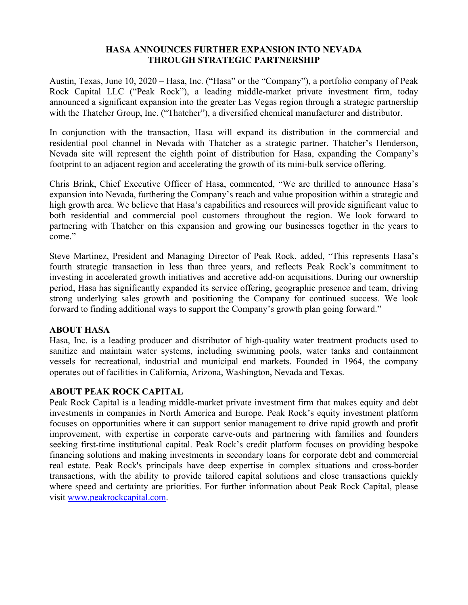## **HASA ANNOUNCES FURTHER EXPANSION INTO NEVADA THROUGH STRATEGIC PARTNERSHIP**

Austin, Texas, June 10, 2020 – Hasa, Inc. ("Hasa" or the "Company"), a portfolio company of Peak Rock Capital LLC ("Peak Rock"), a leading middle-market private investment firm, today announced a significant expansion into the greater Las Vegas region through a strategic partnership with the Thatcher Group, Inc. ("Thatcher"), a diversified chemical manufacturer and distributor.

In conjunction with the transaction, Hasa will expand its distribution in the commercial and residential pool channel in Nevada with Thatcher as a strategic partner. Thatcher's Henderson, Nevada site will represent the eighth point of distribution for Hasa, expanding the Company's footprint to an adjacent region and accelerating the growth of its mini-bulk service offering.

Chris Brink, Chief Executive Officer of Hasa, commented, "We are thrilled to announce Hasa's expansion into Nevada, furthering the Company's reach and value proposition within a strategic and high growth area. We believe that Hasa's capabilities and resources will provide significant value to both residential and commercial pool customers throughout the region. We look forward to partnering with Thatcher on this expansion and growing our businesses together in the years to come."

Steve Martinez, President and Managing Director of Peak Rock, added, "This represents Hasa's fourth strategic transaction in less than three years, and reflects Peak Rock's commitment to investing in accelerated growth initiatives and accretive add-on acquisitions. During our ownership period, Hasa has significantly expanded its service offering, geographic presence and team, driving strong underlying sales growth and positioning the Company for continued success. We look forward to finding additional ways to support the Company's growth plan going forward."

## **ABOUT HASA**

Hasa, Inc. is a leading producer and distributor of high-quality water treatment products used to sanitize and maintain water systems, including swimming pools, water tanks and containment vessels for recreational, industrial and municipal end markets. Founded in 1964, the company operates out of facilities in California, Arizona, Washington, Nevada and Texas.

## **ABOUT PEAK ROCK CAPITAL**

Peak Rock Capital is a leading middle‐market private investment firm that makes equity and debt investments in companies in North America and Europe. Peak Rock's equity investment platform focuses on opportunities where it can support senior management to drive rapid growth and profit improvement, with expertise in corporate carve-outs and partnering with families and founders seeking first-time institutional capital. Peak Rock's credit platform focuses on providing bespoke financing solutions and making investments in secondary loans for corporate debt and commercial real estate. Peak Rock's principals have deep expertise in complex situations and cross‐border transactions, with the ability to provide tailored capital solutions and close transactions quickly where speed and certainty are priorities. For further information about Peak Rock Capital, please visit www.peakrockcapital.com.